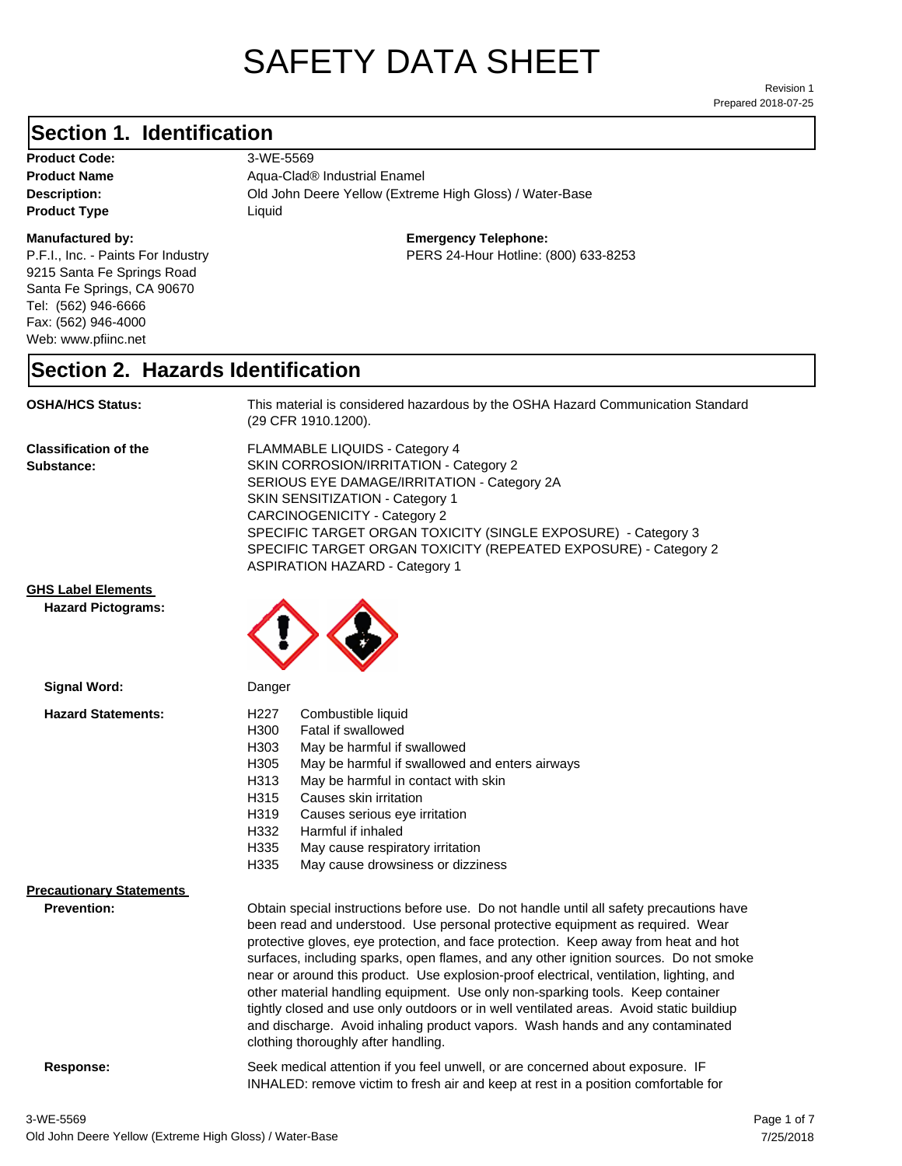# SAFETY DATA SHEET

Prepared 2018-07-25 Revision 1

### **Section 1. Identification**

| <b>Product Code:</b> |
|----------------------|
| <b>Product Name</b>  |
| Description:         |
| <b>Product Type</b>  |

#### **Manufactured by:**

P.F.I., Inc. - Paints For Industry 9215 Santa Fe Springs Road Santa Fe Springs, CA 90670 Tel: (562) 946-6666 Fax: (562) 946-4000 Web: www.pfiinc.net

**Old John Deere Yellow (Extreme High Gloss) / Water-Base Product Code:** 3-WE-5569 **Product Name** Aqua-Clad® Industrial Enamel **Product Type** Liquid

**Emergency Telephone:**

PERS 24-Hour Hotline: (800) 633-8253

#### **Section 2. Hazards Identification**

**OSHA/HCS Status:** This material is considered hazardous by the OSHA Hazard Communication Standard (29 CFR 1910.1200).

**Classification of the Substance:**

FLAMMABLE LIQUIDS - Category 4 SKIN CORROSION/IRRITATION - Category 2 SERIOUS EYE DAMAGE/IRRITATION - Category 2A SKIN SENSITIZATION - Category 1 CARCINOGENICITY - Category 2 SPECIFIC TARGET ORGAN TOXICITY (SINGLE EXPOSURE) - Category 3 SPECIFIC TARGET ORGAN TOXICITY (REPEATED EXPOSURE) - Category 2 ASPIRATION HAZARD - Category 1

INHALED: remove victim to fresh air and keep at rest in a position comfortable for

**GHS Label Elements**

**Hazard Pictograms:**



| Signal Word:                    | Danger                                                                                                                                                                                                                                                                                                                                                                                                                                                                                                                                                                                                                                                                                                                                                   |
|---------------------------------|----------------------------------------------------------------------------------------------------------------------------------------------------------------------------------------------------------------------------------------------------------------------------------------------------------------------------------------------------------------------------------------------------------------------------------------------------------------------------------------------------------------------------------------------------------------------------------------------------------------------------------------------------------------------------------------------------------------------------------------------------------|
| <b>Hazard Statements:</b>       | H <sub>227</sub><br>Combustible liquid                                                                                                                                                                                                                                                                                                                                                                                                                                                                                                                                                                                                                                                                                                                   |
|                                 | H300<br>Fatal if swallowed                                                                                                                                                                                                                                                                                                                                                                                                                                                                                                                                                                                                                                                                                                                               |
|                                 | H303<br>May be harmful if swallowed                                                                                                                                                                                                                                                                                                                                                                                                                                                                                                                                                                                                                                                                                                                      |
|                                 | H305<br>May be harmful if swallowed and enters airways                                                                                                                                                                                                                                                                                                                                                                                                                                                                                                                                                                                                                                                                                                   |
|                                 | May be harmful in contact with skin<br>H313                                                                                                                                                                                                                                                                                                                                                                                                                                                                                                                                                                                                                                                                                                              |
|                                 | Causes skin irritation<br>H315                                                                                                                                                                                                                                                                                                                                                                                                                                                                                                                                                                                                                                                                                                                           |
|                                 | H319<br>Causes serious eye irritation                                                                                                                                                                                                                                                                                                                                                                                                                                                                                                                                                                                                                                                                                                                    |
|                                 | H332<br>Harmful if inhaled                                                                                                                                                                                                                                                                                                                                                                                                                                                                                                                                                                                                                                                                                                                               |
|                                 | H335<br>May cause respiratory irritation                                                                                                                                                                                                                                                                                                                                                                                                                                                                                                                                                                                                                                                                                                                 |
|                                 | H335<br>May cause drowsiness or dizziness                                                                                                                                                                                                                                                                                                                                                                                                                                                                                                                                                                                                                                                                                                                |
| <b>Precautionary Statements</b> |                                                                                                                                                                                                                                                                                                                                                                                                                                                                                                                                                                                                                                                                                                                                                          |
| <b>Prevention:</b>              | Obtain special instructions before use. Do not handle until all safety precautions have<br>been read and understood. Use personal protective equipment as required. Wear<br>protective gloves, eye protection, and face protection. Keep away from heat and hot<br>surfaces, including sparks, open flames, and any other ignition sources. Do not smoke<br>near or around this product. Use explosion-proof electrical, ventilation, lighting, and<br>other material handling equipment. Use only non-sparking tools. Keep container<br>tightly closed and use only outdoors or in well ventilated areas. Avoid static buildiup<br>and discharge. Avoid inhaling product vapors. Wash hands and any contaminated<br>clothing thoroughly after handling. |
| Response:                       | Seek medical attention if you feel unwell, or are concerned about exposure. IF                                                                                                                                                                                                                                                                                                                                                                                                                                                                                                                                                                                                                                                                           |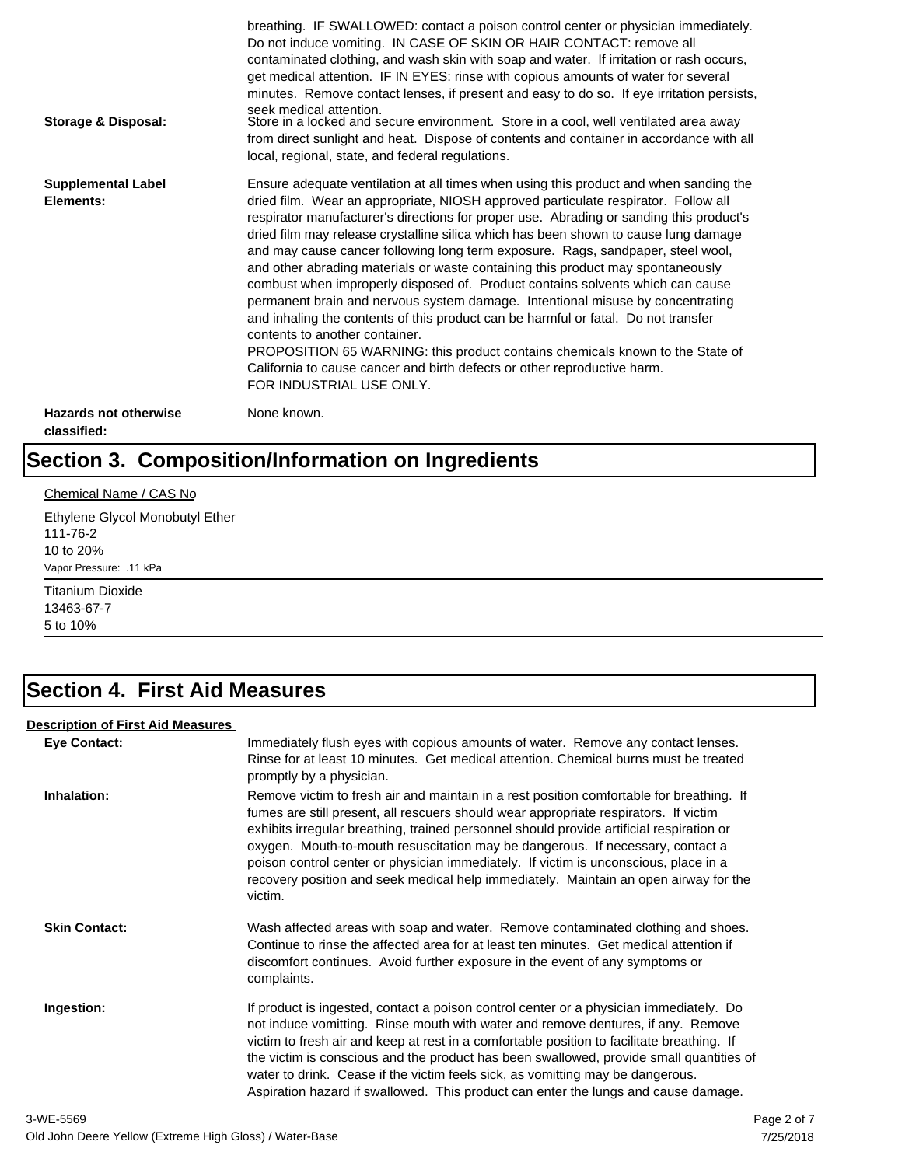| Storage & Disposal:                         | breathing. IF SWALLOWED: contact a poison control center or physician immediately.<br>Do not induce vomiting. IN CASE OF SKIN OR HAIR CONTACT: remove all<br>contaminated clothing, and wash skin with soap and water. If irritation or rash occurs,<br>get medical attention. IF IN EYES: rinse with copious amounts of water for several<br>minutes. Remove contact lenses, if present and easy to do so. If eye irritation persists,<br>seek medical attention.<br>Store in a locked and secure environment. Store in a cool, well ventilated area away<br>from direct sunlight and heat. Dispose of contents and container in accordance with all<br>local, regional, state, and federal regulations.                                                                                                                                                                                                                                                                                                                |
|---------------------------------------------|--------------------------------------------------------------------------------------------------------------------------------------------------------------------------------------------------------------------------------------------------------------------------------------------------------------------------------------------------------------------------------------------------------------------------------------------------------------------------------------------------------------------------------------------------------------------------------------------------------------------------------------------------------------------------------------------------------------------------------------------------------------------------------------------------------------------------------------------------------------------------------------------------------------------------------------------------------------------------------------------------------------------------|
| <b>Supplemental Label</b><br>Elements:      | Ensure adequate ventilation at all times when using this product and when sanding the<br>dried film. Wear an appropriate, NIOSH approved particulate respirator. Follow all<br>respirator manufacturer's directions for proper use. Abrading or sanding this product's<br>dried film may release crystalline silica which has been shown to cause lung damage<br>and may cause cancer following long term exposure. Rags, sandpaper, steel wool,<br>and other abrading materials or waste containing this product may spontaneously<br>combust when improperly disposed of. Product contains solvents which can cause<br>permanent brain and nervous system damage. Intentional misuse by concentrating<br>and inhaling the contents of this product can be harmful or fatal. Do not transfer<br>contents to another container.<br>PROPOSITION 65 WARNING: this product contains chemicals known to the State of<br>California to cause cancer and birth defects or other reproductive harm.<br>FOR INDUSTRIAL USE ONLY. |
| <b>Hazards not otherwise</b><br>classified: | None known.                                                                                                                                                                                                                                                                                                                                                                                                                                                                                                                                                                                                                                                                                                                                                                                                                                                                                                                                                                                                              |

# **Section 3. Composition/Information on Ingredients**

#### Chemical Name / CAS No

Ethylene Glycol Monobutyl Ether 111-76-2 10 to 20% Vapor Pressure: .11 kPa

Titanium Dioxide 13463-67-7 5 to 10%

### **Section 4. First Aid Measures**

#### **Description of First Aid Measures**

| <b>Eye Contact:</b>  | Immediately flush eyes with copious amounts of water. Remove any contact lenses.<br>Rinse for at least 10 minutes. Get medical attention. Chemical burns must be treated<br>promptly by a physician.                                                                                                                                                                                                                                                                                                                                                      |
|----------------------|-----------------------------------------------------------------------------------------------------------------------------------------------------------------------------------------------------------------------------------------------------------------------------------------------------------------------------------------------------------------------------------------------------------------------------------------------------------------------------------------------------------------------------------------------------------|
| Inhalation:          | Remove victim to fresh air and maintain in a rest position comfortable for breathing. If<br>fumes are still present, all rescuers should wear appropriate respirators. If victim<br>exhibits irregular breathing, trained personnel should provide artificial respiration or<br>oxygen. Mouth-to-mouth resuscitation may be dangerous. If necessary, contact a<br>poison control center or physician immediately. If victim is unconscious, place in a<br>recovery position and seek medical help immediately. Maintain an open airway for the<br>victim. |
| <b>Skin Contact:</b> | Wash affected areas with soap and water. Remove contaminated clothing and shoes.<br>Continue to rinse the affected area for at least ten minutes. Get medical attention if<br>discomfort continues. Avoid further exposure in the event of any symptoms or<br>complaints.                                                                                                                                                                                                                                                                                 |
| Ingestion:           | If product is ingested, contact a poison control center or a physician immediately. Do<br>not induce vomitting. Rinse mouth with water and remove dentures, if any. Remove<br>victim to fresh air and keep at rest in a comfortable position to facilitate breathing. If<br>the victim is conscious and the product has been swallowed, provide small quantities of<br>water to drink. Cease if the victim feels sick, as vomitting may be dangerous.<br>Aspiration hazard if swallowed. This product can enter the lungs and cause damage.               |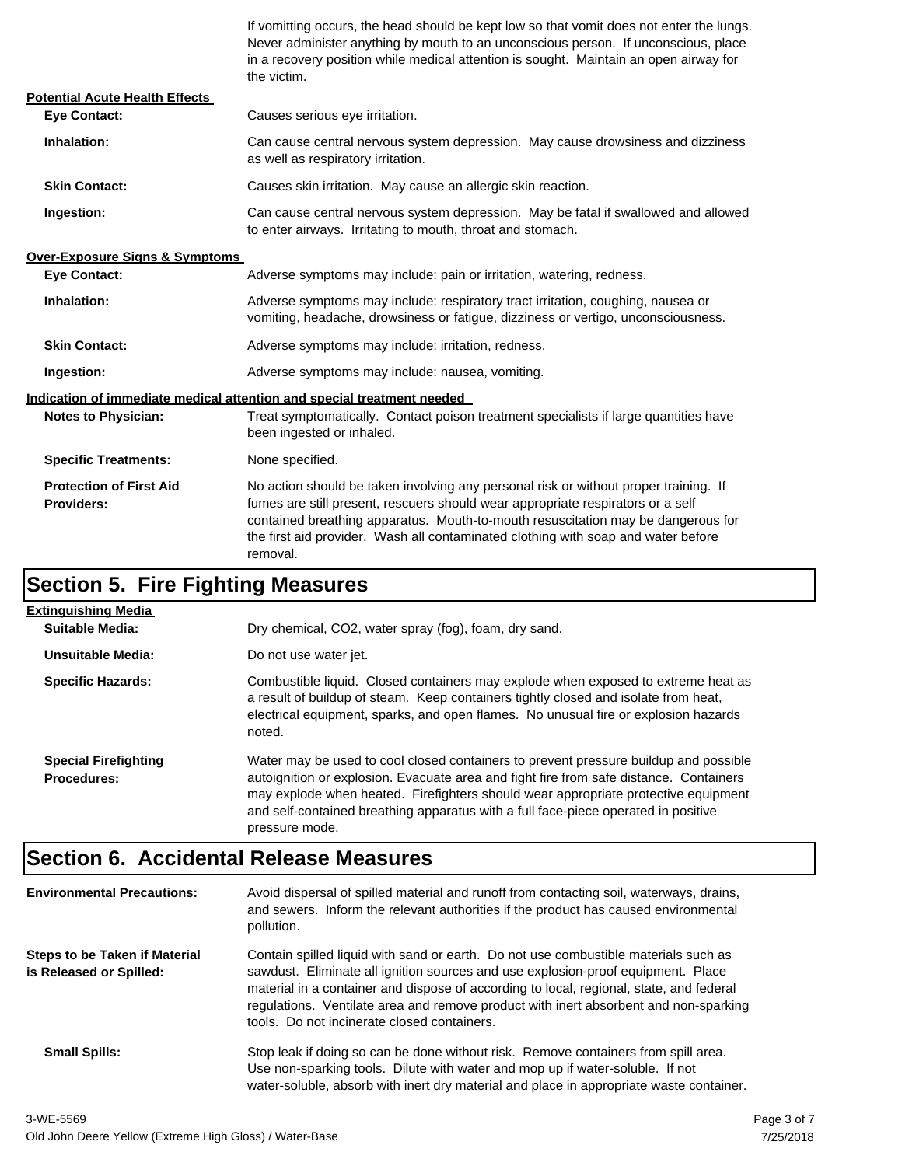If vomitting occurs, the head should be kept low so that vomit does not enter the lungs. Never administer anything by mouth to an unconscious person. If unconscious, place in a recovery position while medical attention is sought. Maintain an open airway for the victim.

| <b>Potential Acute Health Effects</b>               |                                                                                                                                                                                                                                                                                                                                                              |  |
|-----------------------------------------------------|--------------------------------------------------------------------------------------------------------------------------------------------------------------------------------------------------------------------------------------------------------------------------------------------------------------------------------------------------------------|--|
| <b>Eve Contact:</b>                                 | Causes serious eye irritation.                                                                                                                                                                                                                                                                                                                               |  |
| Inhalation:                                         | Can cause central nervous system depression. May cause drowsiness and dizziness<br>as well as respiratory irritation.                                                                                                                                                                                                                                        |  |
| <b>Skin Contact:</b>                                | Causes skin irritation. May cause an allergic skin reaction.                                                                                                                                                                                                                                                                                                 |  |
| Ingestion:                                          | Can cause central nervous system depression. May be fatal if swallowed and allowed<br>to enter airways. Irritating to mouth, throat and stomach.                                                                                                                                                                                                             |  |
| <b>Over-Exposure Signs &amp; Symptoms</b>           |                                                                                                                                                                                                                                                                                                                                                              |  |
| <b>Eve Contact:</b>                                 | Adverse symptoms may include: pain or irritation, watering, redness.                                                                                                                                                                                                                                                                                         |  |
| Inhalation:                                         | Adverse symptoms may include: respiratory tract irritation, coughing, nausea or<br>vomiting, headache, drowsiness or fatigue, dizziness or vertigo, unconsciousness.                                                                                                                                                                                         |  |
| <b>Skin Contact:</b>                                | Adverse symptoms may include: irritation, redness.                                                                                                                                                                                                                                                                                                           |  |
| Ingestion:                                          | Adverse symptoms may include: nausea, vomiting.                                                                                                                                                                                                                                                                                                              |  |
|                                                     | Indication of immediate medical attention and special treatment needed                                                                                                                                                                                                                                                                                       |  |
| <b>Notes to Physician:</b>                          | Treat symptomatically. Contact poison treatment specialists if large quantities have<br>been ingested or inhaled.                                                                                                                                                                                                                                            |  |
| <b>Specific Treatments:</b>                         | None specified.                                                                                                                                                                                                                                                                                                                                              |  |
| <b>Protection of First Aid</b><br><b>Providers:</b> | No action should be taken involving any personal risk or without proper training. If<br>fumes are still present, rescuers should wear appropriate respirators or a self<br>contained breathing apparatus. Mouth-to-mouth resuscitation may be dangerous for<br>the first aid provider. Wash all contaminated clothing with soap and water before<br>removal. |  |

## **Section 5. Fire Fighting Measures**

| <b>Extinguishing Media</b>                        |                                                                                                                                                                                                                                                                                                                                                                              |
|---------------------------------------------------|------------------------------------------------------------------------------------------------------------------------------------------------------------------------------------------------------------------------------------------------------------------------------------------------------------------------------------------------------------------------------|
| Suitable Media:                                   | Dry chemical, CO2, water spray (fog), foam, dry sand.                                                                                                                                                                                                                                                                                                                        |
| Unsuitable Media:                                 | Do not use water jet.                                                                                                                                                                                                                                                                                                                                                        |
| <b>Specific Hazards:</b>                          | Combustible liquid. Closed containers may explode when exposed to extreme heat as<br>a result of buildup of steam. Keep containers tightly closed and isolate from heat,<br>electrical equipment, sparks, and open flames. No unusual fire or explosion hazards<br>noted.                                                                                                    |
| <b>Special Firefighting</b><br><b>Procedures:</b> | Water may be used to cool closed containers to prevent pressure buildup and possible<br>autoignition or explosion. Evacuate area and fight fire from safe distance. Containers<br>may explode when heated. Firefighters should wear appropriate protective equipment<br>and self-contained breathing apparatus with a full face-piece operated in positive<br>pressure mode. |

### **Section 6. Accidental Release Measures**

| <b>Environmental Precautions:</b>                               | Avoid dispersal of spilled material and runoff from contacting soil, waterways, drains,<br>and sewers. Inform the relevant authorities if the product has caused environmental<br>pollution.                                                                                                                                                                                                              |
|-----------------------------------------------------------------|-----------------------------------------------------------------------------------------------------------------------------------------------------------------------------------------------------------------------------------------------------------------------------------------------------------------------------------------------------------------------------------------------------------|
| <b>Steps to be Taken if Material</b><br>is Released or Spilled: | Contain spilled liquid with sand or earth. Do not use combustible materials such as<br>sawdust. Eliminate all ignition sources and use explosion-proof equipment. Place<br>material in a container and dispose of according to local, regional, state, and federal<br>regulations. Ventilate area and remove product with inert absorbent and non-sparking<br>tools. Do not incinerate closed containers. |
| <b>Small Spills:</b>                                            | Stop leak if doing so can be done without risk. Remove containers from spill area.<br>Use non-sparking tools. Dilute with water and mop up if water-soluble. If not<br>water-soluble, absorb with inert dry material and place in appropriate waste container.                                                                                                                                            |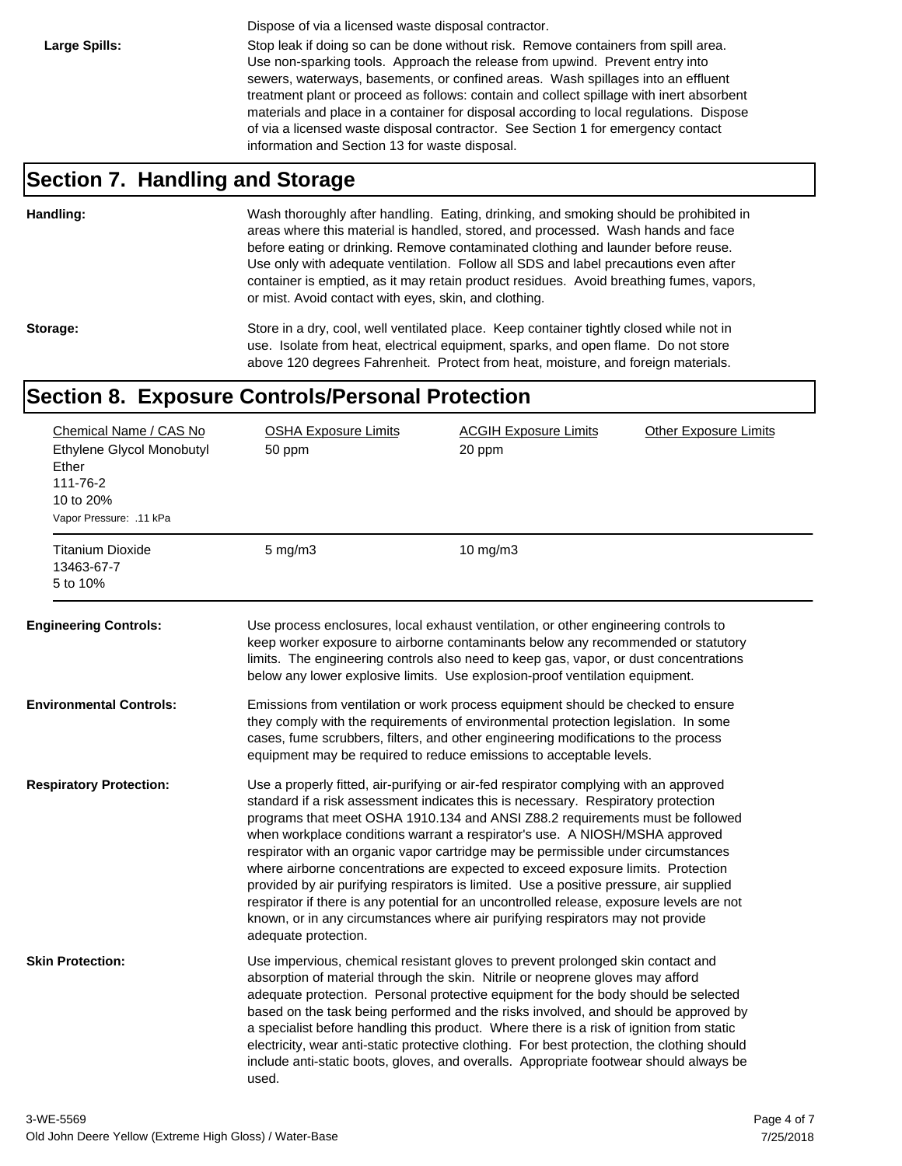Dispose of via a licensed waste disposal contractor.

Large Spills: Stop leak if doing so can be done without risk. Remove containers from spill area. Use non-sparking tools. Approach the release from upwind. Prevent entry into sewers, waterways, basements, or confined areas. Wash spillages into an effluent treatment plant or proceed as follows: contain and collect spillage with inert absorbent materials and place in a container for disposal according to local regulations. Dispose of via a licensed waste disposal contractor. See Section 1 for emergency contact information and Section 13 for waste disposal.

#### **Section 7. Handling and Storage**

**Handling:** Wash thoroughly after handling. Eating, drinking, and smoking should be prohibited in areas where this material is handled, stored, and processed. Wash hands and face before eating or drinking. Remove contaminated clothing and launder before reuse. Use only with adequate ventilation. Follow all SDS and label precautions even after container is emptied, as it may retain product residues. Avoid breathing fumes, vapors, or mist. Avoid contact with eyes, skin, and clothing.

Storage: Store in a dry, cool, well ventilated place. Keep container tightly closed while not in use. Isolate from heat, electrical equipment, sparks, and open flame. Do not store above 120 degrees Fahrenheit. Protect from heat, moisture, and foreign materials.

#### **Section 8. Exposure Controls/Personal Protection**

| Chemical Name / CAS No<br>Ethylene Glycol Monobutyl<br>Ether<br>111-76-2<br>10 to 20%<br>Vapor Pressure: .11 kPa | <b>OSHA Exposure Limits</b><br>50 ppm | <b>ACGIH Exposure Limits</b><br>20 ppm                                                                                                                                                                                                                                                                                                                                                                                                                                                                                                                                                                                                                                                                                                                                                        | <b>Other Exposure Limits</b> |
|------------------------------------------------------------------------------------------------------------------|---------------------------------------|-----------------------------------------------------------------------------------------------------------------------------------------------------------------------------------------------------------------------------------------------------------------------------------------------------------------------------------------------------------------------------------------------------------------------------------------------------------------------------------------------------------------------------------------------------------------------------------------------------------------------------------------------------------------------------------------------------------------------------------------------------------------------------------------------|------------------------------|
| <b>Titanium Dioxide</b><br>13463-67-7<br>5 to 10%                                                                | $5$ mg/m $3$                          | $10$ mg/m $3$                                                                                                                                                                                                                                                                                                                                                                                                                                                                                                                                                                                                                                                                                                                                                                                 |                              |
| <b>Engineering Controls:</b>                                                                                     |                                       | Use process enclosures, local exhaust ventilation, or other engineering controls to<br>keep worker exposure to airborne contaminants below any recommended or statutory<br>limits. The engineering controls also need to keep gas, vapor, or dust concentrations<br>below any lower explosive limits. Use explosion-proof ventilation equipment.                                                                                                                                                                                                                                                                                                                                                                                                                                              |                              |
| <b>Environmental Controls:</b>                                                                                   |                                       | Emissions from ventilation or work process equipment should be checked to ensure<br>they comply with the requirements of environmental protection legislation. In some<br>cases, fume scrubbers, filters, and other engineering modifications to the process<br>equipment may be required to reduce emissions to acceptable levels.                                                                                                                                                                                                                                                                                                                                                                                                                                                           |                              |
| <b>Respiratory Protection:</b>                                                                                   | adequate protection.                  | Use a properly fitted, air-purifying or air-fed respirator complying with an approved<br>standard if a risk assessment indicates this is necessary. Respiratory protection<br>programs that meet OSHA 1910.134 and ANSI Z88.2 requirements must be followed<br>when workplace conditions warrant a respirator's use. A NIOSH/MSHA approved<br>respirator with an organic vapor cartridge may be permissible under circumstances<br>where airborne concentrations are expected to exceed exposure limits. Protection<br>provided by air purifying respirators is limited. Use a positive pressure, air supplied<br>respirator if there is any potential for an uncontrolled release, exposure levels are not<br>known, or in any circumstances where air purifying respirators may not provide |                              |
| <b>Skin Protection:</b>                                                                                          | used.                                 | Use impervious, chemical resistant gloves to prevent prolonged skin contact and<br>absorption of material through the skin. Nitrile or neoprene gloves may afford<br>adequate protection. Personal protective equipment for the body should be selected<br>based on the task being performed and the risks involved, and should be approved by<br>a specialist before handling this product. Where there is a risk of ignition from static<br>electricity, wear anti-static protective clothing. For best protection, the clothing should<br>include anti-static boots, gloves, and overalls. Appropriate footwear should always be                                                                                                                                                           |                              |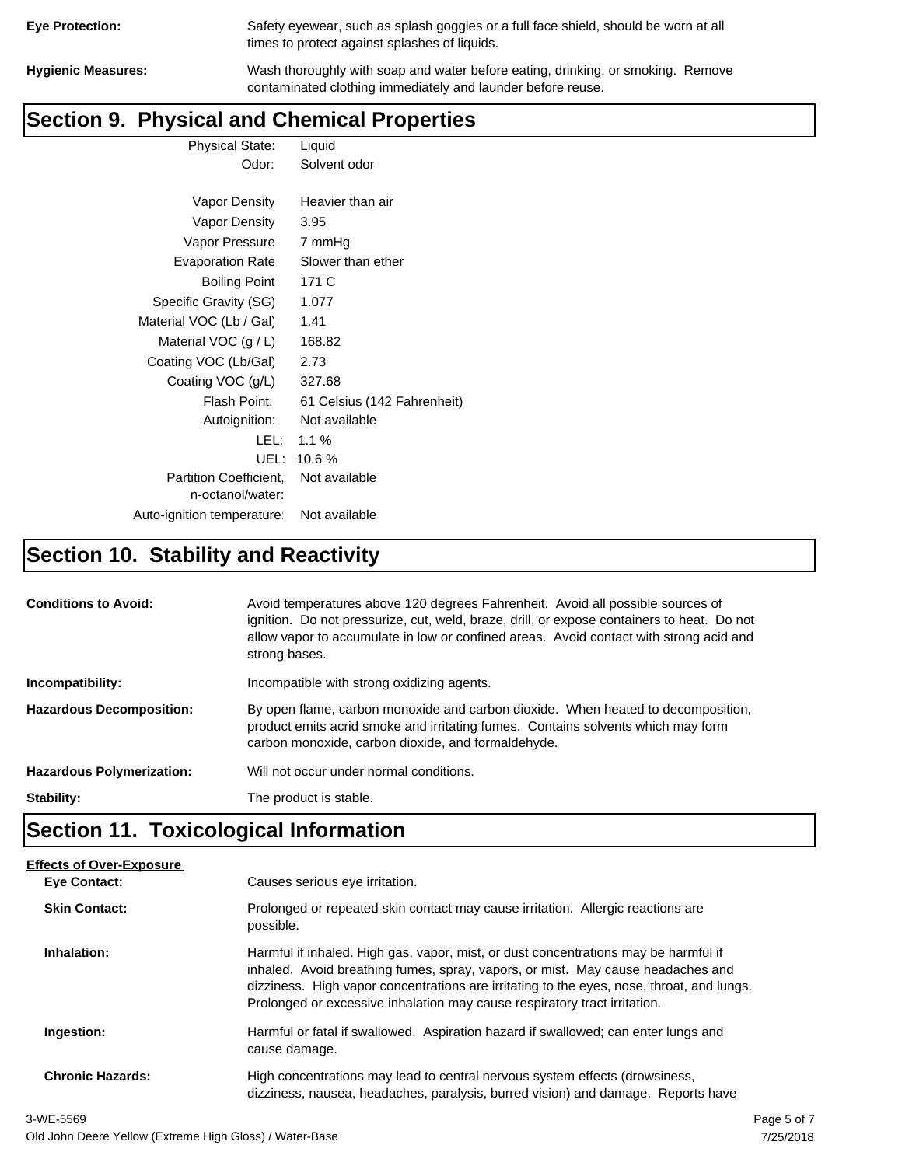| <b>Eye Protection:</b> |  |
|------------------------|--|
|                        |  |

Safety eyewear, such as splash goggles or a full face shield, should be worn at all times to protect against splashes of liquids.

**Hygienic Measures:** Wash thoroughly with soap and water before eating, drinking, or smoking. Remove contaminated clothing immediately and launder before reuse.

# **Section 9. Physical and Chemical Properties**

Physical State: Liquid Odor: Solvent odor

| Vapor Density                                     | Heavier than air            |
|---------------------------------------------------|-----------------------------|
| Vapor Density                                     | 3.95                        |
| Vapor Pressure                                    | 7 mmHq                      |
| <b>Evaporation Rate</b>                           | Slower than ether           |
| <b>Boiling Point</b>                              | 171 C                       |
| Specific Gravity (SG)                             | 1.077                       |
| Material VOC (Lb / Gal)                           | 1.41                        |
| Material VOC $(g/L)$                              | 168.82                      |
| Coating VOC (Lb/Gal)                              | 2.73                        |
| Coating VOC (g/L)                                 | 327.68                      |
| Flash Point:                                      | 61 Celsius (142 Fahrenheit) |
| Autoignition:                                     | Not available               |
| LEL:                                              | $1.1 \%$                    |
| UEL:                                              | 10.6%                       |
| <b>Partition Coefficient.</b><br>n-octanol/water: | Not available               |
| Auto-ignition temperature:                        | Not available               |

# **Section 10. Stability and Reactivity**

| <b>Conditions to Avoid:</b>      | Avoid temperatures above 120 degrees Fahrenheit. Avoid all possible sources of<br>ignition. Do not pressurize, cut, weld, braze, drill, or expose containers to heat. Do not<br>allow vapor to accumulate in low or confined areas. Avoid contact with strong acid and<br>strong bases. |
|----------------------------------|-----------------------------------------------------------------------------------------------------------------------------------------------------------------------------------------------------------------------------------------------------------------------------------------|
| Incompatibility:                 | Incompatible with strong oxidizing agents.                                                                                                                                                                                                                                              |
| <b>Hazardous Decomposition:</b>  | By open flame, carbon monoxide and carbon dioxide. When heated to decomposition,<br>product emits acrid smoke and irritating fumes. Contains solvents which may form<br>carbon monoxide, carbon dioxide, and formaldehyde.                                                              |
| <b>Hazardous Polymerization:</b> | Will not occur under normal conditions.                                                                                                                                                                                                                                                 |
| Stability:                       | The product is stable.                                                                                                                                                                                                                                                                  |

## **Section 11. Toxicological Information**

| <b>Effects of Over-Exposure</b> |                                                                                                                                                                                                                                                                                                                                                  |
|---------------------------------|--------------------------------------------------------------------------------------------------------------------------------------------------------------------------------------------------------------------------------------------------------------------------------------------------------------------------------------------------|
| <b>Eve Contact:</b>             | Causes serious eye irritation.                                                                                                                                                                                                                                                                                                                   |
| <b>Skin Contact:</b>            | Prolonged or repeated skin contact may cause irritation. Allergic reactions are<br>possible.                                                                                                                                                                                                                                                     |
| Inhalation:                     | Harmful if inhaled. High gas, vapor, mist, or dust concentrations may be harmful if<br>inhaled. Avoid breathing fumes, spray, vapors, or mist. May cause headaches and<br>dizziness. High vapor concentrations are irritating to the eyes, nose, throat, and lungs.<br>Prolonged or excessive inhalation may cause respiratory tract irritation. |
| Ingestion:                      | Harmful or fatal if swallowed. Aspiration hazard if swallowed; can enter lungs and<br>cause damage.                                                                                                                                                                                                                                              |
| <b>Chronic Hazards:</b>         | High concentrations may lead to central nervous system effects (drowsiness,<br>dizziness, nausea, headaches, paralysis, burred vision) and damage. Reports have                                                                                                                                                                                  |
|                                 |                                                                                                                                                                                                                                                                                                                                                  |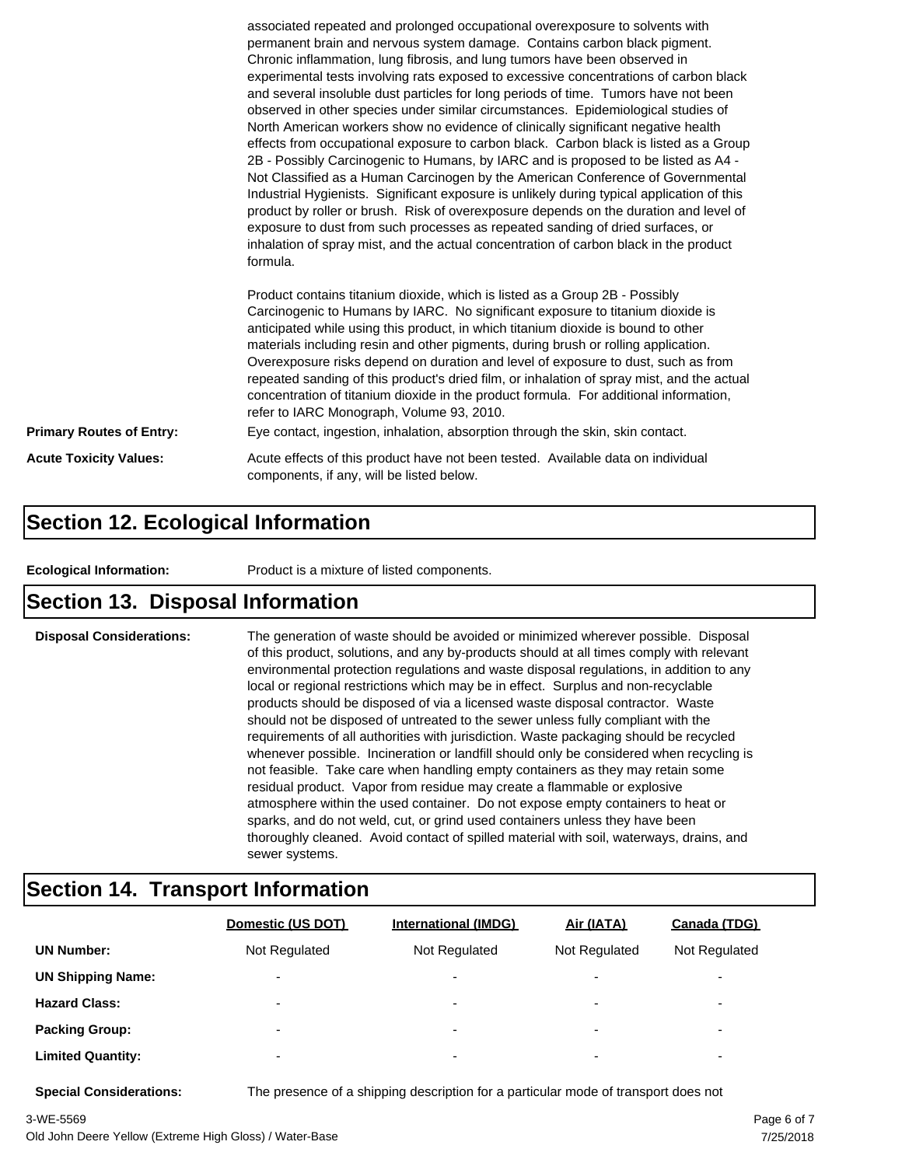|                                 | associated repeated and prolonged occupational overexposure to solvents with<br>permanent brain and nervous system damage. Contains carbon black pigment.<br>Chronic inflammation, lung fibrosis, and lung tumors have been observed in<br>experimental tests involving rats exposed to excessive concentrations of carbon black<br>and several insoluble dust particles for long periods of time. Tumors have not been<br>observed in other species under similar circumstances. Epidemiological studies of<br>North American workers show no evidence of clinically significant negative health<br>effects from occupational exposure to carbon black. Carbon black is listed as a Group<br>2B - Possibly Carcinogenic to Humans, by IARC and is proposed to be listed as A4 -<br>Not Classified as a Human Carcinogen by the American Conference of Governmental<br>Industrial Hygienists. Significant exposure is unlikely during typical application of this<br>product by roller or brush. Risk of overexposure depends on the duration and level of<br>exposure to dust from such processes as repeated sanding of dried surfaces, or<br>inhalation of spray mist, and the actual concentration of carbon black in the product<br>formula.<br>Product contains titanium dioxide, which is listed as a Group 2B - Possibly<br>Carcinogenic to Humans by IARC. No significant exposure to titanium dioxide is<br>anticipated while using this product, in which titanium dioxide is bound to other<br>materials including resin and other pigments, during brush or rolling application.<br>Overexposure risks depend on duration and level of exposure to dust, such as from |  |  |
|---------------------------------|------------------------------------------------------------------------------------------------------------------------------------------------------------------------------------------------------------------------------------------------------------------------------------------------------------------------------------------------------------------------------------------------------------------------------------------------------------------------------------------------------------------------------------------------------------------------------------------------------------------------------------------------------------------------------------------------------------------------------------------------------------------------------------------------------------------------------------------------------------------------------------------------------------------------------------------------------------------------------------------------------------------------------------------------------------------------------------------------------------------------------------------------------------------------------------------------------------------------------------------------------------------------------------------------------------------------------------------------------------------------------------------------------------------------------------------------------------------------------------------------------------------------------------------------------------------------------------------------------------------------------------------------------------------------------------|--|--|
|                                 | repeated sanding of this product's dried film, or inhalation of spray mist, and the actual<br>concentration of titanium dioxide in the product formula. For additional information,<br>refer to IARC Monograph, Volume 93, 2010.                                                                                                                                                                                                                                                                                                                                                                                                                                                                                                                                                                                                                                                                                                                                                                                                                                                                                                                                                                                                                                                                                                                                                                                                                                                                                                                                                                                                                                                   |  |  |
| <b>Primary Routes of Entry:</b> | Eye contact, ingestion, inhalation, absorption through the skin, skin contact.                                                                                                                                                                                                                                                                                                                                                                                                                                                                                                                                                                                                                                                                                                                                                                                                                                                                                                                                                                                                                                                                                                                                                                                                                                                                                                                                                                                                                                                                                                                                                                                                     |  |  |
| <b>Acute Toxicity Values:</b>   | Acute effects of this product have not been tested. Available data on individual<br>components, if any, will be listed below.                                                                                                                                                                                                                                                                                                                                                                                                                                                                                                                                                                                                                                                                                                                                                                                                                                                                                                                                                                                                                                                                                                                                                                                                                                                                                                                                                                                                                                                                                                                                                      |  |  |

#### **Section 12. Ecological Information**

**Ecological Information:** Product is a mixture of listed components.

#### **Section 13. Disposal Information**

**Disposal Considerations:** The generation of waste should be avoided or minimized wherever possible. Disposal of this product, solutions, and any by-products should at all times comply with relevant environmental protection regulations and waste disposal regulations, in addition to any local or regional restrictions which may be in effect. Surplus and non-recyclable products should be disposed of via a licensed waste disposal contractor. Waste should not be disposed of untreated to the sewer unless fully compliant with the requirements of all authorities with jurisdiction. Waste packaging should be recycled whenever possible. Incineration or landfill should only be considered when recycling is not feasible. Take care when handling empty containers as they may retain some residual product. Vapor from residue may create a flammable or explosive atmosphere within the used container. Do not expose empty containers to heat or sparks, and do not weld, cut, or grind used containers unless they have been thoroughly cleaned. Avoid contact of spilled material with soil, waterways, drains, and sewer systems.

#### **Section 14. Transport Information**

|                          | Domestic (US DOT)        | <b>International (IMDG)</b> | Air (IATA)               | Canada (TDG)             |
|--------------------------|--------------------------|-----------------------------|--------------------------|--------------------------|
| <b>UN Number:</b>        | Not Regulated            | Not Regulated               | Not Regulated            | Not Regulated            |
| <b>UN Shipping Name:</b> | $\overline{\phantom{0}}$ | $\overline{\phantom{0}}$    | $\overline{\phantom{0}}$ | ٠                        |
| <b>Hazard Class:</b>     | $\overline{\phantom{0}}$ | $\overline{\phantom{a}}$    | $\overline{\phantom{0}}$ | $\overline{\phantom{a}}$ |
| <b>Packing Group:</b>    | $\overline{\phantom{0}}$ | ۰                           | $\overline{\phantom{0}}$ | ٠                        |
| <b>Limited Quantity:</b> | $\overline{\phantom{0}}$ | ۰                           | $\overline{\phantom{0}}$ | ۰                        |

**Special Considerations:** The presence of a shipping description for a particular mode of transport does not